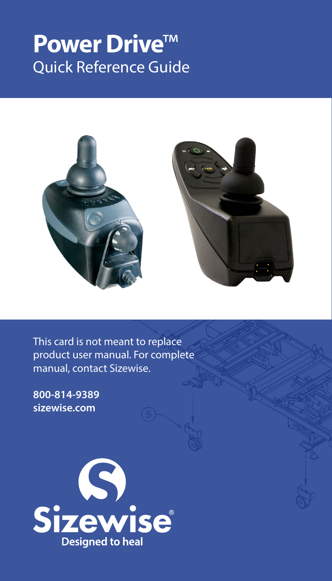## **Power Drive**™ Quick Reference Guide



This card is not meant to replace product user manual. For complete manual, contact Sizewise.

**800-814-9389 sizewise.com**

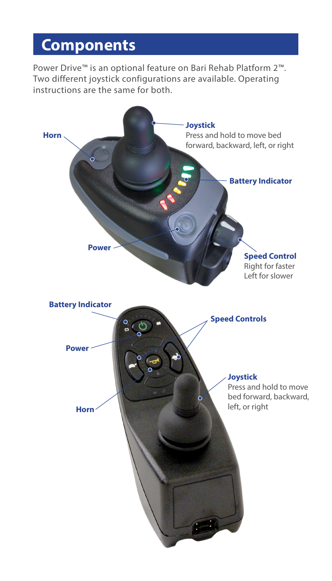## **Components**

Power Drive™ is an optional feature on Bari Rehab Platform 2™. Two different joystick configurations are available. Operating instructions are the same for both.

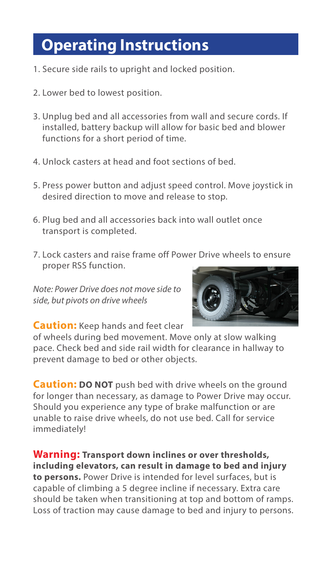## **Operating Instructions**

- 1. Secure side rails to upright and locked position.
- 2. Lower bed to lowest position.
- 3. Unplug bed and all accessories from wall and secure cords. If installed, battery backup will allow for basic bed and blower functions for a short period of time.
- 4. Unlock casters at head and foot sections of bed.
- 5. Press power button and adjust speed control. Move joystick in desired direction to move and release to stop.
- 6. Plug bed and all accessories back into wall outlet once transport is completed.
- 7. Lock casters and raise frame off Power Drive wheels to ensure proper RSS function.

*Note: Power Drive does not move side to side, but pivots on drive wheels*



**Caution:** Keep hands and feet clear

of wheels during bed movement. Move only at slow walking pace. Check bed and side rail width for clearance in hallway to prevent damage to bed or other objects.

**Caution: DO NOT** push bed with drive wheels on the ground for longer than necessary, as damage to Power Drive may occur. Should you experience any type of brake malfunction or are unable to raise drive wheels, do not use bed. Call for service immediately!

**Warning: Transport down inclines or over thresholds, including elevators, can result in damage to bed and injury to persons.** Power Drive is intended for level surfaces, but is capable of climbing a 5 degree incline if necessary. Extra care should be taken when transitioning at top and bottom of ramps. Loss of traction may cause damage to bed and injury to persons.